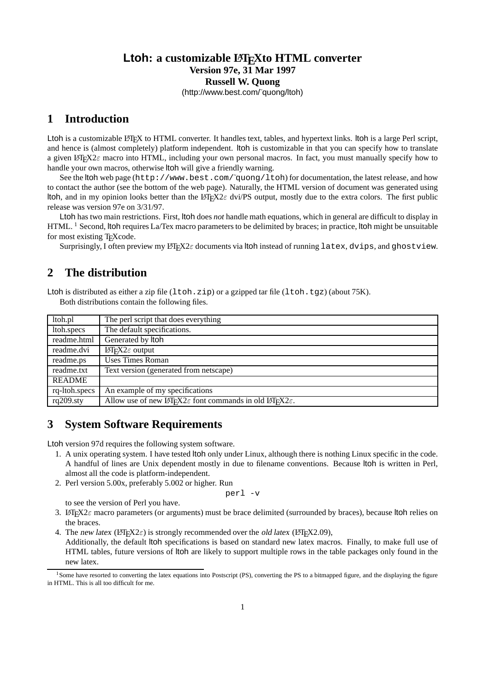### Ltoh: a customizable L<sup>A</sup>T<sub>E</sub>Xto HTML converter **Version 97e, 31 Mar 1997 Russell W. Quong** (http://www.best.com/˜quong/ltoh)

# **1 Introduction**

Ltoh is a customizable LATEX to HTML converter. It handles text, tables, and hypertext links. Itoh is a large Perl script, and hence is (almost completely) platform independent. ltoh is customizable in that you can specify how to translate a given LATEX2 $\varepsilon$  macro into HTML, including your own personal macros. In fact, you must manually specify how to handle your own macros, otherwise ltoh will give a friendly warning.

See the ltoh web page (http://www.best.com/~quong/ltoh) for documentation, the latest release, and how to contact the author (see the bottom of the web page). Naturally, the HTML version of document was generated using ltoh, and in my opinion looks better than the LAT<sub>EX2 $\varepsilon$ </sub> dvi/PS output, mostly due to the extra colors. The first public release was version 97e on 3/31/97.

Ltoh has two main restrictions. First, ltoh does *not* handle math equations, which in general are difficult to display in  $HTML<sup>1</sup> Second, Itoh requires La/Text macro parameters to be delimited by braces; in practice, Itoh might be unsuitable$ for most existing T<sub>E</sub>Xcode.

Surprisingly, I often preview my  $\cancel{E}$ T<sub>F</sub>X2 $\varepsilon$  documents via ltoh instead of running latex, dvips, and ghostview.

## **2 The distribution**

Ltoh is distributed as either a zip file  $(1 \text{toh.}zip)$  or a gzipped tar file  $(1 \text{toh.}tgz)$  (about 75K). Both distributions contain the following files.

| ltoh.pl                 | The perl script that does everything                                            |
|-------------------------|---------------------------------------------------------------------------------|
| ltoh.specs              | The default specifications.                                                     |
| readme.html             | Generated by Itoh                                                               |
| readme.dvi              | <b>LATEX2</b> $\varepsilon$ output                                              |
| readme.ps               | Uses Times Roman                                                                |
| readme.txt              | Text version (generated from netscape)                                          |
| <b>README</b>           |                                                                                 |
| rq-ltoh.specs           | An example of my specifications                                                 |
| $\overline{rq}$ 209.sty | Allow use of new IAT $X2\varepsilon$ font commands in old IAT $X2\varepsilon$ . |

# **3 System Software Requirements**

Ltoh version 97d requires the following system software.

- 1. A unix operating system. I have tested ltoh only under Linux, although there is nothing Linux specific in the code. A handful of lines are Unix dependent mostly in due to filename conventions. Because ltoh is written in Perl, almost all the code is platform-independent.
- 2. Perl version 5.00x, preferably 5.002 or higher. Run

```
perl -v
```
to see the version of Perl you have.

- 3. LATEX $2\varepsilon$  macro parameters (or arguments) must be brace delimited (surrounded by braces), because ltoh relies on the braces.
- 4. The new latex ( $L_{\text{F}}$ X2 $\varepsilon$ ) is strongly recommended over the old latex ( $L_{\text{F}}$ X2.09),

Additionally, the default ltoh specifications is based on standard new latex macros. Finally, to make full use of HTML tables, future versions of ltoh are likely to support multiple rows in the table packages only found in the new latex.

<sup>&</sup>lt;sup>1</sup>Some have resorted to converting the latex equations into Postscript (PS), converting the PS to a bitmapped figure, and the displaying the figure in HTML. This is all too difficult for me.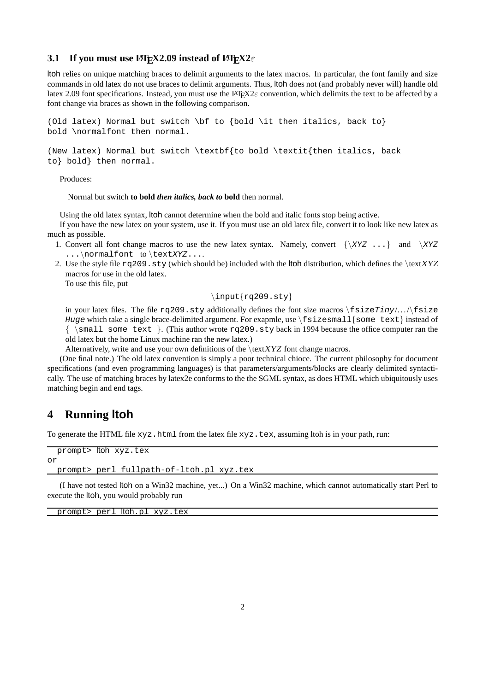#### **3.1 If you must use**  $\text{BTr}X2.09$  **instead of**  $\text{BTr}X2\varepsilon$

ltoh relies on unique matching braces to delimit arguments to the latex macros. In particular, the font family and size commands in old latex do not use braces to delimit arguments. Thus, ltoh does not (and probably never will) handle old latex 2.09 font specifications. Instead, you must use the LATEX2 $\varepsilon$  convention, which delimits the text to be affected by a font change via braces as shown in the following comparison.

```
(Old latex) Normal but switch \bf to {bold \it then italics, back to}
bold \normalfont then normal.
```
(New latex) Normal but switch \textbf{to bold \textit{then italics, back to} bold} then normal.

Produces:

Normal but switch **to bold** *then italics, back to* **bold** then normal.

Using the old latex syntax, ltoh cannot determine when the bold and italic fonts stop being active. If you have the new latex on your system, use it. If you must use an old latex file, convert it to look like new latex as

- much as possible. 1. Convert all font change macros to use the new latex syntax. Namely, convert  $\{XYZ \dots\}$  and  $\XYZ$ 
	- ...\normalfont to\textXYZ....
	- 2. Use the style file  $rq209$ .  $sty$  (which should be) included with the ltoh distribution, which defines the \textXYZ macros for use in the old latex.

To use this file, put

#### \input{rq209.sty}

in your latex files. The file rq209.sty additionally defines the font size macros  $\frac{\frac{\frac{\sqrt{3}}{\sqrt{3}}}{\sqrt{3}}}{\sqrt{3}}}$ Huge which take a single brace-delimited argument. For exapmle, use  $\frac{\sinh(\theta)}{\sinh(\theta)}$  instead of  $\{\ \mathrm{semall}\ \mathrm{some}\ \mathrm{text} \}.$  (This author wrote rq209.sty back in 1994 because the office computer ran the old latex but the home Linux machine ran the new latex.)

Alternatively, write and use your own definitions of the  $\text{XYZ}$  font change macros.

(One final note.) The old latex convention is simply a poor technical chioce. The current philosophy for document specifications (and even programming languages) is that parameters/arguments/blocks are clearly delimited syntactically. The use of matching braces by latex2e conforms to the the SGML syntax, as does HTML which ubiquitously uses matching begin and end tags.

### **4 Running ltoh**

To generate the HTML file xyz.html from the latex file xyz.tex, assuming ltoh is in your path, run:

```
prompt> ltoh xyz.tex
or
 prompt> perl fullpath-of-ltoh.pl xyz.tex
```
(I have not tested ltoh on a Win32 machine, yet...) On a Win32 machine, which cannot automatically start Perl to execute the ltoh, you would probably run

prompt> perl ltoh.pl xyz.tex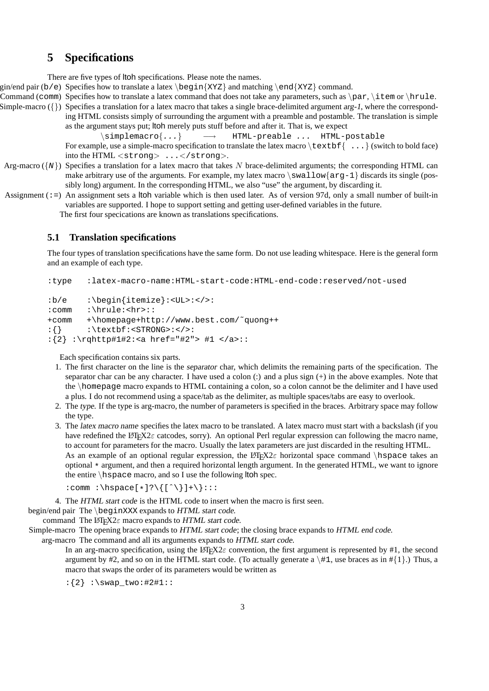### **5 Specifications**

There are five types of ltoh specifications. Please note the names.

gin/end pair (b/e) Specifies how to translate a latex  $\begin{cases} XYZZ\end{cases}$  and matching  $\end{cases}$  and  $\begin{cases}XYZZ\end{cases}$  command.

- Command (comm) Specifies how to translate a latex command that does not take any parameters, such as  $\parrow$   $\text{term}$  or  $\text{true}$ .
- Simple-macro ( $\{\}$ ) Specifies a translation for a latex macro that takes a single brace-delimited argument arg-1, where the corresponding HTML consists simply of surrounding the argument with a preamble and postamble. The translation is simple as the argument stays put; ltoh merely puts stuff before and after it. That is, we expect

 $\verb|\sim|$   $\rightarrow$  HTML-preable ... HTML-postable For example, use a simple-macro specification to translate the latex macro  $\text{textbf{f} } \dots$  (switch to bold face) into the HTML <strong>  $\dots$ </strong>.

- Arg-macro ( $\{N\}$ ) Specifies a translation for a latex macro that takes N brace-delimited arguments; the corresponding HTML can make arbitrary use of the arguments. For example, my latex macro  $\swarrow$  and  $\arg\max$  discards its single (possibly long) argument. In the corresponding HTML, we also "use" the argument, by discarding it.
- Assignment  $(:=)$  An assignment sets a ltoh variable which is then used later. As of version 97d, only a small number of built-in variables are supported. I hope to support setting and getting user-defined variables in the future.

The first four specications are known as translations specifications.

#### **5.1 Translation specifications**

The four types of translation specifications have the same form. Do not use leading whitespace. Here is the general form and an example of each type.

:type :latex-macro-name:HTML-start-code:HTML-end-code:reserved/not-used

```
:b/e :\begin{itemize}:<UL>:</>:
:comm :\hrule:<hr>::
+comm +\homepage+http://www.best.com/˜quong++
:\{\} : \textbf:<STRONG>:</>:
:{2} :\rqhttp#1#2:<a href="#2"> #1 </a>::
```
Each specification contains six parts.

- 1. The first character on the line is the separator char, which delimits the remaining parts of the specification. The separator char can be any character. I have used a colon (:) and a plus sign (+) in the above examples. Note that the \homepage macro expands to HTML containing a colon, so a colon cannot be the delimiter and I have used a plus. I do not recommend using a space/tab as the delimiter, as multiple spaces/tabs are easy to overlook.
- 2. The type. If the type is arg-macro, the number of parameters is specified in the braces. Arbitrary space may follow the type.
- 3. The latex macro name specifies the latex macro to be translated. A latex macro must start with a backslash (if you have redefined the LATEX2 $\varepsilon$  catcodes, sorry). An optional Perl regular expression can following the macro name, to account for parameters for the macro. Usually the latex parameters are just discarded in the resulting HTML. As an example of an optional regular expression, the LAT<sub>EX2</sub> horizontal space command \hspace takes an optional \* argument, and then a required horizontal length argument. In the generated HTML, we want to ignore the entire  $\hbar$ space macro, and so I use the following ltoh spec.

:comm :\hspace[\*]?\{[ˆ\}]+\}:::

4. The HTML start code is the HTML code to insert when the macro is first seen.

begin/end pair The \beginXXX expands to HTML start code.

command The  $\text{LATEX2}\varepsilon$  macro expands to HTML start code.

Simple-macro The opening brace expands to HTML start code; the closing brace expands to HTML end code.

arg-macro The command and all its arguments expands to HTML start code.

In an arg-macro specification, using the LATEX2 $\varepsilon$  convention, the first argument is represented by #1, the second argument by #2, and so on in the HTML start code. (To actually generate a  $\#1$ , use braces as in #{1}.) Thus, a macro that swaps the order of its parameters would be written as

 $:\{2\}$  :\swap two:#2#1::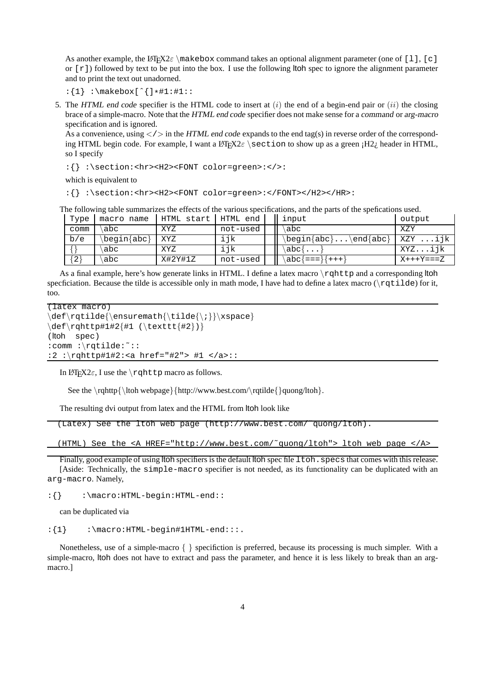As another example, the LATEX2 $\varepsilon$  \makebox command takes an optional alignment parameter (one of [1], [c] or  $\lceil r \rceil$ ) followed by text to be put into the box. I use the following ltoh spec to ignore the alignment parameter and to print the text out unadorned.

 $:\{1\} : \makebox[{]{\ } * \#1 : \#1 : :$ 

5. The HTML end code specifier is the HTML code to insert at  $(i)$  the end of a begin-end pair or  $(ii)$  the closing brace of a simple-macro. Note that the HTML end code specifier does not make sense for a command or arg-macro specification and is ignored.

As a convenience, using  $\langle \rangle$  in the HTML end code expands to the end tag(s) in reverse order of the corresponding HTML begin code. For example, I want a LATEX2 $\varepsilon$  section to show up as a green  $H2i$ , header in HTML, so I specify

:{} :\section:<hr><H2><FONT color=green>:</>:

which is equivalent to

:{} :\section:<hr><H2><FONT color=green>:</FONT></H2></HR>:

The following table summarizes the effects of the various specifications, and the parts of the spefications used.

| Type  | macro name  | HTML start I HTML end |          | input                | output     |
|-------|-------------|-----------------------|----------|----------------------|------------|
| comm  | abc         | XYZ                   | not-used | abc                  | XZY        |
| b/e   | \begin{abc} | XYZ                   | ijk      | \begin{abc}\end{abc} | XZY ijk    |
|       | abc         | XYZ                   | ijk      | \abc{                | XYZijk     |
| ا 2 ا | abc         | X#2Y#1Z               | not-used | \abc{===}{+++}       | $X+++Y==Z$ |

As a final example, here's how generate links in HTML. I define a latex macro  $\rr$ qhttp and a corresponding ltoh specficiation. Because the tilde is accessible only in math mode, I have had to define a latex macro ( $\text{rgtilde}$  of or it, too.

```
(latex macro)
\def\rqtilde{\ensuremath{\tilde{\;}}\xspace}
\def\rqhttp#1#2{#1 (\texttt{#2})}
(ltoh spec)
:comm :\rqtilde:˜::
:2 :\rqhttp#1#2:<a href="#2"> #1 </a>::
```
In  $\text{LTFX2}\varepsilon$ , I use the \rqhttp macro as follows.

See the \rqhttp{\ltoh webpage}{http://www.best.com/\rqtilde{}quong/ltoh}.

The resulting dvi output from latex and the HTML from ltoh look like

```
(Latex) See the ltoh web page (http://www.best.com/˜quong/ltoh).
```
(HTML) See the <A HREF="http://www.best.com/˜quong/ltoh"> ltoh web page </A>

Finally, good example of using ltoh specifiers is the default ltoh spec file ltoh. specs that comes with this release. [Aside: Technically, the simple-macro specifier is not needed, as its functionality can be duplicated with an arg-macro. Namely,

:{} :\macro:HTML-begin:HTML-end::

can be duplicated via

 $:\{1\}$  :\macro:HTML-begin#1HTML-end:::.

Nonetheless, use of a simple-macro { } specifiction is preferred, because its processing is much simpler. With a simple-macro, ltoh does not have to extract and pass the parameter, and hence it is less likely to break than an argmacro.]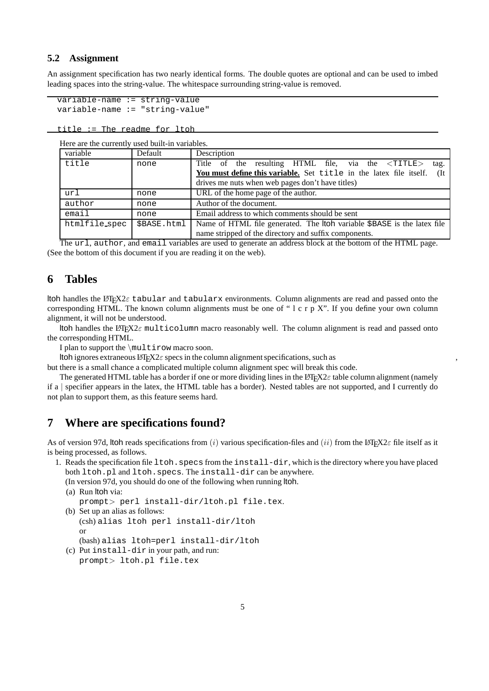### **5.2 Assignment**

An assignment specification has two nearly identical forms. The double quotes are optional and can be used to imbed leading spaces into the string-value. The whitespace surrounding string-value is removed.

```
variable-name := string-value
variable-name := "string-value"
```
title := The readme for ltoh

| Here are the currently used built-in variables. |  |
|-------------------------------------------------|--|
|-------------------------------------------------|--|

| variable      | Default     | Description                                                                |
|---------------|-------------|----------------------------------------------------------------------------|
| title         | none        | Title of the resulting HTML file, via the $\langle TITLE \rangle$<br>tag.  |
|               |             | You must define this variable. Set title in the latex file itself.<br>(It) |
|               |             | drives me nuts when web pages don't have titles)                           |
| url           | none        | URL of the home page of the author.                                        |
| author        | none        | Author of the document.                                                    |
| email         | none        | Email address to which comments should be sent                             |
| htmlfile_spec | \$BASE.html | Name of HTML file generated. The ltoh variable \$BASE is the latex file    |
|               |             | name stripped of the directory and suffix components.                      |

The url, author, and email variables are used to generate an address block at the bottom of the HTML page. (See the bottom of this document if you are reading it on the web).

### **6 Tables**

ltoh handles the LATEX2 $\varepsilon$  tabular and tabularx environments. Column alignments are read and passed onto the corresponding HTML. The known column alignments must be one of " l c r p X". If you define your own column alignment, it will not be understood.

ltoh handles the LATEX2 $\varepsilon$  multicolumn macro reasonably well. The column alignment is read and passed onto the corresponding HTML.

I plan to support the \multirow macro soon.

ltoh ignores extraneous LATEX2 $\varepsilon$  specs in the column alignment specifications, such as

but there is a small chance a complicated multiple column alignment spec will break this code.

The generated HTML table has a border if one or more dividing lines in the LATEX2 $\varepsilon$  table column alignment (namely if a | specifier appears in the latex, the HTML table has a border). Nested tables are not supported, and I currently do not plan to support them, as this feature seems hard.

# **7 Where are specifications found?**

As of version 97d, ltoh reads specifications from (i) various specification-files and (ii) from the LATEX2 $\varepsilon$  file itself as it is being processed, as follows.

- 1. Reads the specification file ltoh.specs from the install-dir, which is the directory where you have placed both ltoh.pl and ltoh.specs. The install-dir can be anywhere.
	- (In version 97d, you should do one of the following when running ltoh. (a) Run ltoh via:
		- prompt> perl install-dir/ltoh.pl file.tex.
	- (b) Set up an alias as follows: (csh) alias ltoh perl install-dir/ltoh or (bash) alias ltoh=perl install-dir/ltoh
	- (c) Put install-dir in your path, and run: prompt> ltoh.pl file.tex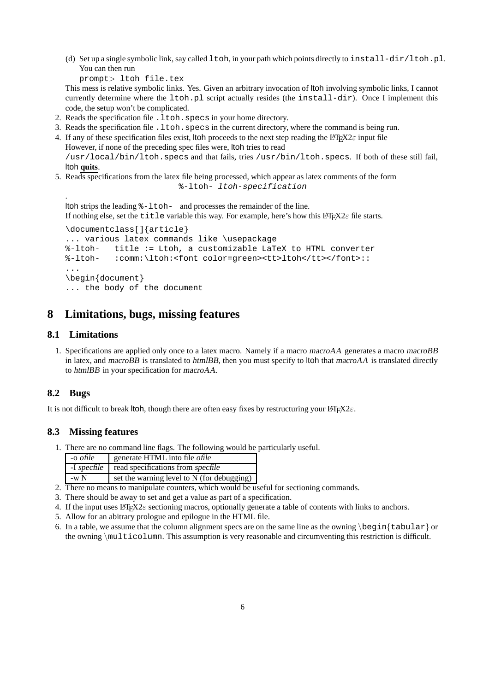(d) Set up a single symbolic link, say called ltoh, in your path which points directly to install-dir/ltoh.pl. You can then run

prompt> ltoh file.tex

This mess is relative symbolic links. Yes. Given an arbitrary invocation of ltoh involving symbolic links, I cannot currently determine where the ltoh.pl script actually resides (the install-dir). Once I implement this code, the setup won't be complicated.

- 2. Reads the specification file . 1 toh. specs in your home directory.
- 3. Reads the specification file .ltoh.specs in the current directory, where the command is being run.
- 4. If any of these specification files exist, ltoh proceeds to the next step reading the LATEX2 $\varepsilon$  input file However, if none of the preceding spec files were, ltoh tries to read /usr/local/bin/ltoh.specs and that fails, tries /usr/bin/ltoh.specs. If both of these still fail, ltoh **quits**.
- 5. Reads specifications from the latex file being processed, which appear as latex comments of the form

%-ltoh- ltoh-specification

```
.
ltoh strips the leading %-ltoh- and processes the remainder of the line.
If nothing else, set the title variable this way. For example, here's how this LATEX2\varepsilon file starts.
\documentclass[]{article}
```

```
... various latex commands like \usepackage
%-ltoh- title := Ltoh, a customizable LaTeX to HTML converter
%-ltoh- :comm:\ltoh:<font color=green><tt>ltoh</tt></font>::
...
\begin{document}
... the body of the document
```
# **8 Limitations, bugs, missing features**

### **8.1 Limitations**

1. Specifications are applied only once to a latex macro. Namely if a macro macroAA generates a macro macroBB in latex, and macroBB is translated to htmlBB, then you must specify to ltoh that macroAA is translated directly to htmlBB in your specification for macroAA.

### **8.2 Bugs**

It is not difficult to break ltoh, though there are often easy fixes by restructuring your  $\text{LSTF}X2\varepsilon$ .

### **8.3 Missing features**

1. There are no command line flags. The following would be particularly useful.

| -o ofile    | generate HTML into file ofile              |
|-------------|--------------------------------------------|
| -I specfile | read specifications from specfile          |
| $-wN$       | set the warning level to N (for debugging) |

- 2. There no means to manipulate counters, which would be useful for sectioning commands.
- 3. There should be away to set and get a value as part of a specification.
- 4. If the input uses  $\mathbb{E} \text{Tr} \text{X2}\varepsilon$  sectioning macros, optionally generate a table of contents with links to anchors.
- 5. Allow for an abitrary prologue and epilogue in the HTML file.
- 6. In a table, we assume that the column alignment specs are on the same line as the owning  $\begin{cases} \begin{array}{c} \text{begin} \\ \text{begin}} \text{begin}} \text{begin}} \text{begin}} \text{1} \text{1} \text{2} \\ \text{2} \text{1} \text{1} \end{array} \end{cases} \end{cases}$ the owning \multicolumn. This assumption is very reasonable and circumventing this restriction is difficult.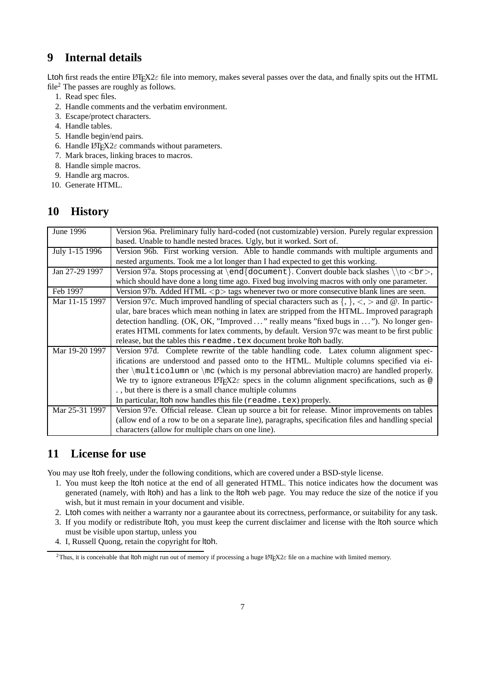# **9 Internal details**

Ltoh first reads the entire L<sup>4</sup>T<sub>E</sub>X<sub>2</sub> $\varepsilon$  file into memory, makes several passes over the data, and finally spits out the HTML file<sup>2</sup> The passes are roughly as follows.

- 1. Read spec files.
- 2. Handle comments and the verbatim environment.
- 3. Escape/protect characters.
- 4. Handle tables.
- 5. Handle begin/end pairs.
- 6. Handle LATEX $2\varepsilon$  commands without parameters.
- 7. Mark braces, linking braces to macros.
- 8. Handle simple macros.
- 9. Handle arg macros.
- 10. Generate HTML.

# **10 History**

| June 1996      | Version 96a. Preliminary fully hard-coded (not customizable) version. Purely regular expression                 |
|----------------|-----------------------------------------------------------------------------------------------------------------|
|                | based. Unable to handle nested braces. Ugly, but it worked. Sort of.                                            |
| July 1-15 1996 | Version 96b. First working version. Able to handle commands with multiple arguments and                         |
|                | nested arguments. Took me a lot longer than I had expected to get this working.                                 |
| Jan 27-29 1997 | Version 97a. Stops processing at $\end{locum}$ . Convert double back slashes $\to$                              |
|                | which should have done a long time ago. Fixed bug involving macros with only one parameter.                     |
| Feb 1997       | Version 97b. Added HTML $\langle p \rangle$ tags whenever two or more consecutive blank lines are seen.         |
| Mar 11-15 1997 | Version 97c. Much improved handling of special characters such as $\{,\}, \leq, \geq$ and $\omega$ . In partic- |
|                | ular, bare braces which mean nothing in latex are stripped from the HTML. Improved paragraph                    |
|                | detection handling. (OK, OK, "Improved " really means "fixed bugs in "). No longer gen-                         |
|                | erates HTML comments for latex comments, by default. Version 97c was meant to be first public                   |
|                | release, but the tables this readme. tex document broke ltoh badly.                                             |
| Mar 19-20 1997 | Version 97d. Complete rewrite of the table handling code. Latex column alignment spec-                          |
|                | ifications are understood and passed onto to the HTML. Multiple columns specified via ei-                       |
|                | ther $\mu\text{ticolumor } \mc$ (which is my personal abbreviation macro) are handled properly.                 |
|                | We try to ignore extraneous LIFX2 $\varepsilon$ specs in the column alignment specifications, such as $\otimes$ |
|                | ., but there is there is a small chance multiple columns                                                        |
|                | In particular, Itoh now handles this file (readme.tex) properly.                                                |
| Mar 25-31 1997 | Version 97e. Official release. Clean up source a bit for release. Minor improvements on tables                  |
|                | (allow end of a row to be on a separate line), paragraphs, specification files and handling special             |
|                | characters (allow for multiple chars on one line).                                                              |

# **11 License for use**

You may use ltoh freely, under the following conditions, which are covered under a BSD-style license.

- 1. You must keep the ltoh notice at the end of all generated HTML. This notice indicates how the document was generated (namely, with ltoh) and has a link to the ltoh web page. You may reduce the size of the notice if you wish, but it must remain in your document and visible.
- 2. Ltoh comes with neither a warranty nor a gaurantee about its correctness, performance, or suitability for any task.
- 3. If you modify or redistribute ltoh, you must keep the current disclaimer and license with the ltoh source which must be visible upon startup, unless you
- 4. I, Russell Quong, retain the copyright for ltoh.

<sup>&</sup>lt;sup>2</sup>Thus, it is conceivable that ltoh might run out of memory if processing a huge LAT<sub>E</sub>X2 $\varepsilon$  file on a machine with limited memory.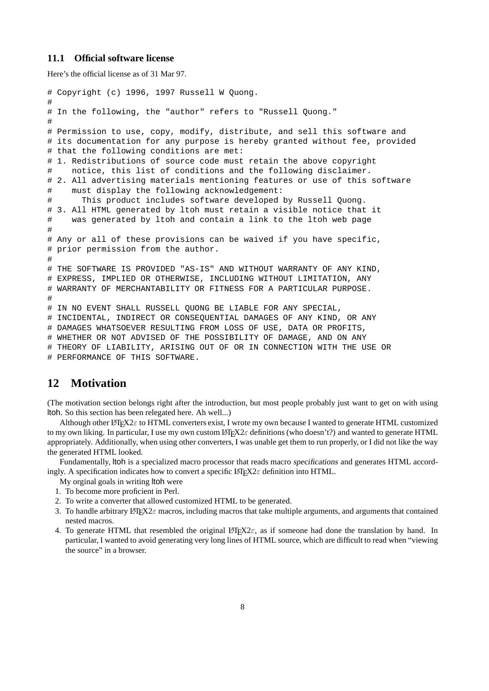#### **11.1 Official software license**

Here's the official license as of 31 Mar 97.

```
# Copyright (c) 1996, 1997 Russell W Quong.
#
# In the following, the "author" refers to "Russell Quong."
#
# Permission to use, copy, modify, distribute, and sell this software and
# its documentation for any purpose is hereby granted without fee, provided
# that the following conditions are met:
# 1. Redistributions of source code must retain the above copyright
# notice, this list of conditions and the following disclaimer.
# 2. All advertising materials mentioning features or use of this software
# must display the following acknowledgement:
# This product includes software developed by Russell Quong.
# 3. All HTML generated by ltoh must retain a visible notice that it
# was generated by ltoh and contain a link to the ltoh web page
#
# Any or all of these provisions can be waived if you have specific,
# prior permission from the author.
#
# THE SOFTWARE IS PROVIDED "AS-IS" AND WITHOUT WARRANTY OF ANY KIND,
# EXPRESS, IMPLIED OR OTHERWISE, INCLUDING WITHOUT LIMITATION, ANY
# WARRANTY OF MERCHANTABILITY OR FITNESS FOR A PARTICULAR PURPOSE.
#
# IN NO EVENT SHALL RUSSELL QUONG BE LIABLE FOR ANY SPECIAL,
# INCIDENTAL, INDIRECT OR CONSEQUENTIAL DAMAGES OF ANY KIND, OR ANY
# DAMAGES WHATSOEVER RESULTING FROM LOSS OF USE, DATA OR PROFITS,
# WHETHER OR NOT ADVISED OF THE POSSIBILITY OF DAMAGE, AND ON ANY
# THEORY OF LIABILITY, ARISING OUT OF OR IN CONNECTION WITH THE USE OR
# PERFORMANCE OF THIS SOFTWARE.
```
# **12 Motivation**

(The motivation section belongs right after the introduction, but most people probably just want to get on with using ltoh. So this section has been relegated here. Ah well...)

Although other LATEX2 $\varepsilon$  to HTML converters exist, I wrote my own because I wanted to generate HTML customized to my own liking. In particular, I use my own custom  $\text{LipX2}\epsilon$  definitions (who doesn't?) and wanted to generate HTML appropriately. Additionally, when using other converters, I was unable get them to run properly, or I did not like the way the generated HTML looked.

Fundamentally, ltoh is a specialized macro processor that reads macro specifications and generates HTML accordingly. A specification indicates how to convert a specific  $\mathbb{E} \mathbb{I} \neq \mathbb{E} \mathbb{E} \mathbb{E} \mathbb{E} \mathbb{E} \mathbb{E} \mathbb{E} \mathbb{E} \mathbb{E} \mathbb{E} \mathbb{E} \mathbb{E} \mathbb{E} \mathbb{E} \mathbb{E} \mathbb{E} \mathbb{E} \mathbb{E} \mathbb{E} \mathbb{E} \mathbb{E} \mathbb{E} \mathbb{E} \mathbb{E} \math$ 

My orginal goals in writing ltoh were

- 1. To become more proficient in Perl.
- 2. To write a converter that allowed customized HTML to be generated.
- 3. To handle arbitrary LATEX2 $\varepsilon$  macros, including macros that take multiple arguments, and arguments that contained nested macros.
- 4. To generate HTML that resembled the original LATEX2 $\varepsilon$ , as if someone had done the translation by hand. In particular, I wanted to avoid generating very long lines of HTML source, which are difficult to read when "viewing the source" in a browser.